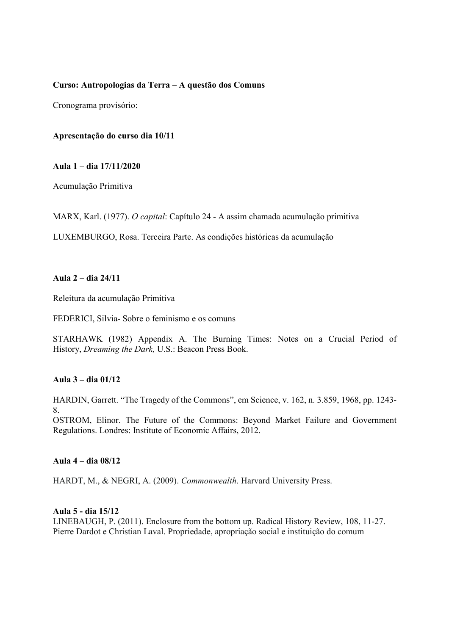# **Curso: Antropologias da Terra – A questão dos Comuns**

Cronograma provisório:

### **Apresentação do curso dia 10/11**

#### **Aula 1 – dia 17/11/2020**

Acumulação Primitiva

MARX, Karl. (1977). *O capital*: Capítulo 24 - A assim chamada acumulação primitiva

LUXEMBURGO, Rosa. Terceira Parte. As condições históricas da acumulação

# **Aula 2 – dia 24/11**

Releitura da acumulação Primitiva

FEDERICI, Silvia- Sobre o feminismo e os comuns

STARHAWK (1982) Appendix A. The Burning Times: Notes on a Crucial Period of History, *Dreaming the Dark,* U.S.: Beacon Press Book.

## **Aula 3 – dia 01/12**

HARDIN, Garrett. "The Tragedy of the Commons", em Science, v. 162, n. 3.859, 1968, pp. 1243- 8.

OSTROM, Elinor. The Future of the Commons: Beyond Market Failure and Government Regulations. Londres: Institute of Economic Affairs, 2012.

## **Aula 4 – dia 08/12**

HARDT, M., & NEGRI, A. (2009). *Commonwealth*. Harvard University Press.

#### **Aula 5 - dia 15/12**

LINEBAUGH, P. (2011). Enclosure from the bottom up. Radical History Review, 108, 11-27. Pierre Dardot e Christian Laval. Propriedade, apropriação social e instituição do comum